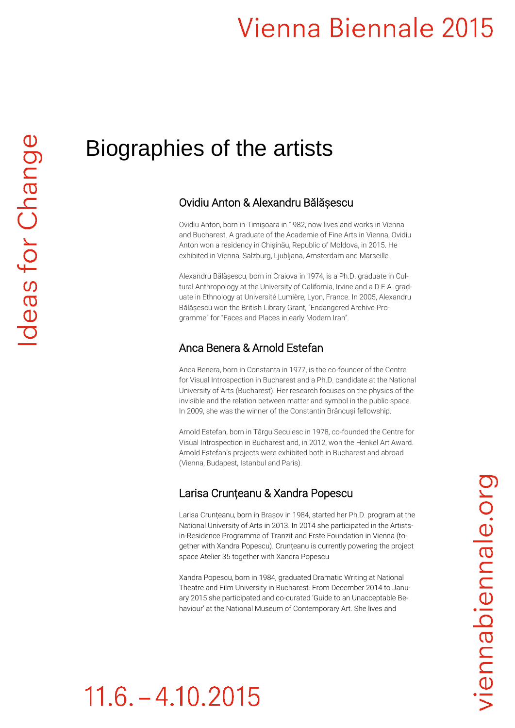# Vienna Biennale 2015

### Biographies of the artists

#### Ovidiu Anton & Alexandru Bălășescu

Ovidiu Anton, born in Timișoara in 1982, now lives and works in Vienna and Bucharest. A graduate of the Academie of Fine Arts in Vienna, Ovidiu Anton won a residency in Chișinău, Republic of Moldova, in 2015. He exhibited in Vienna, Salzburg, Ljubljana, Amsterdam and Marseille.

Alexandru Bălășescu, born in Craiova in 1974, is a Ph.D. graduate in Cultural Anthropology at the University of California, Irvine and a D.E.A. graduate in Ethnology at Université Lumière, Lyon, France. In 2005, Alexandru Bălășescu won the British Library Grant, "Endangered Archive Programme" for "Faces and Places in early Modern Iran".

#### Anca Benera & Arnold Estefan

Anca Benera, born in Constanta in 1977, is the co-founder of the Centre for Visual Introspection in Bucharest and a Ph.D. candidate at the National University of Arts (Bucharest). Her research focuses on the physics of the invisible and the relation between matter and symbol in the public space. In 2009, she was the winner of the Constantin Brâncuși fellowship.

Arnold Estefan, born in Târgu Secuiesc in 1978, co-founded the Centre for Visual Introspection in Bucharest and, in 2012, won the Henkel Art Award. Arnold Estefan's projects were exhibited both in Bucharest and abroad (Vienna, Budapest, Istanbul and Paris).

#### Larisa Crunțeanu & Xandra Popescu

Larisa Crunțeanu, born in Brașov in 1984, started her Ph.D. program at the National University of Arts in 2013. In 2014 she participated in the Artistsin-Residence Programme of Tranzit and Erste Foundation in Vienna (together with Xandra Popescu). Crunțeanu is currently powering the project space Atelier 35 together with Xandra Popescu

Xandra Popescu, born in 1984, graduated Dramatic Writing at National Theatre and Film University in Bucharest. From December 2014 to January 2015 she participated and co-curated 'Guide to an Unacceptable Behaviour' at the National Museum of Contemporary Art. She lives and

# $11.6 - 4.10.2015$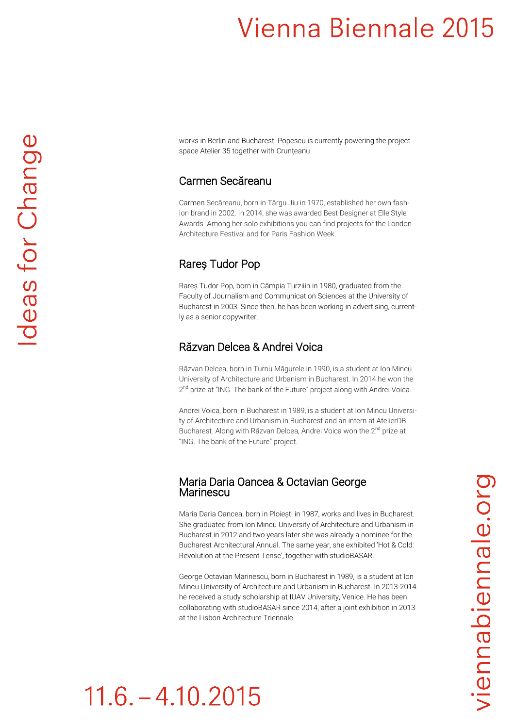# Vienna Biennale 2015

works in Berlin and Bucharest. Popescu is currently powering the project space Atelier 35 together with Crunțeanu.

#### Carmen Secăreanu

Carmen Secăreanu, born in Târgu Jiu in 1970, established her own fashion brand in 2002. In 2014, she was awarded Best Designer at Elle Style Awards. Among her solo exhibitions you can find projects for the London Architecture Festival and for Paris Fashion Week.

#### Rareș Tudor Pop

Rareș Tudor Pop, born in Câmpia Turziiin in 1980, graduated from the Faculty of Journalism and Communication Sciences at the University of Bucharest in 2003. Since then, he has been working in advertising, currently as a senior copywriter.

#### Răzvan Delcea & Andrei Voica

Răzvan Delcea, born in Turnu Măgurele in 1990, is a student at Ion Mincu University of Architecture and Urbanism in Bucharest. In 2014 he won the 2<sup>nd</sup> prize at "ING. The bank of the Future" project along with Andrei Voica.

Andrei Voica, born in Bucharest in 1989, is a student at Ion Mincu University of Architecture and Urbanism in Bucharest and an intern at AtelierDB Bucharest. Along with Răzvan Delcea, Andrei Voica won the 2<sup>nd</sup> prize at "ING. The bank of the Future" project.

#### Maria Daria Oancea & Octavian George **Marinescu**

Maria Daria Oancea, born in Ploiești in 1987, works and lives in Bucharest. She graduated from Ion Mincu University of Architecture and Urbanism in Bucharest in 2012 and two years later she was already a nominee for the Bucharest Architectural Annual. The same year, she exhibited 'Hot & Cold: Revolution at the Present Tense', together with studioBASAR.

George Octavian Marinescu, born in Bucharest in 1989, is a student at Ion Mincu University of Architecture and Urbanism in Bucharest. In 2013-2014 he received a study scholarship at IUAV University, Venice. He has been collaborating with studioBASAR since 2014, after a joint exhibition in 2013 at the Lisbon Architecture Triennale.

# $11.6 - 4.10.2015$